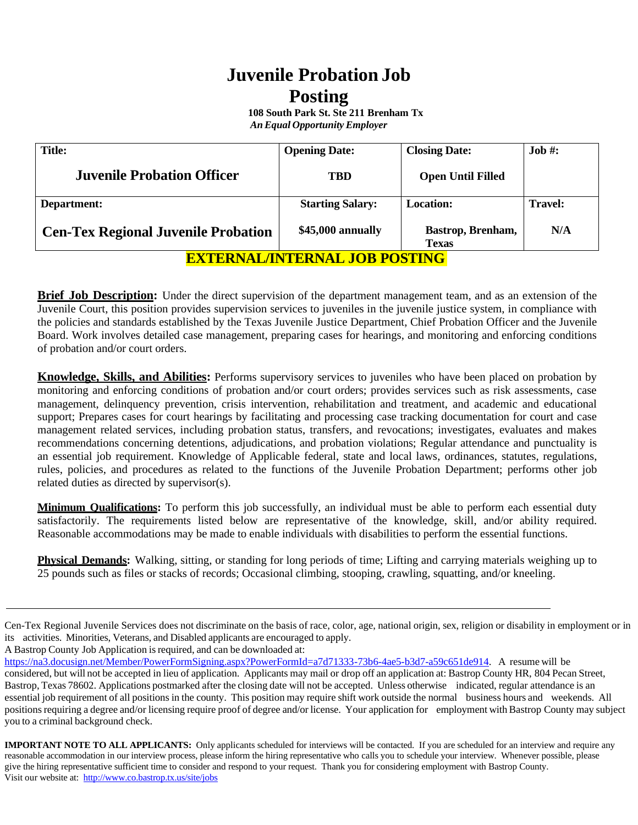# **Juvenile Probation Job Posting**

 **108 South Park St. Ste 211 Brenham Tx** *AnEqual Opportunity Employer*

| <b>Juvenile Probation Officer</b>          | TBD                     | <b>Open Until Filled</b>          |                |
|--------------------------------------------|-------------------------|-----------------------------------|----------------|
| Department:                                | <b>Starting Salary:</b> | <b>Location:</b>                  | <b>Travel:</b> |
| <b>Cen-Tex Regional Juvenile Probation</b> | \$45,000 annually       | Bastrop, Brenham,<br><b>Texas</b> | N/A            |

**EXTERNAL/INTERNAL JOB POSTING**

**Brief Job Description:** Under the direct supervision of the department management team, and as an extension of the Juvenile Court, this position provides supervision services to juveniles in the juvenile justice system, in compliance with the policies and standards established by the Texas Juvenile Justice Department, Chief Probation Officer and the Juvenile Board. Work involves detailed case management, preparing cases for hearings, and monitoring and enforcing conditions of probation and/or court orders.

**Knowledge, Skills, and Abilities:** Performs supervisory services to juveniles who have been placed on probation by monitoring and enforcing conditions of probation and/or court orders; provides services such as risk assessments, case management, delinquency prevention, crisis intervention, rehabilitation and treatment, and academic and educational support; Prepares cases for court hearings by facilitating and processing case tracking documentation for court and case management related services, including probation status, transfers, and revocations; investigates, evaluates and makes recommendations concerning detentions, adjudications, and probation violations; Regular attendance and punctuality is an essential job requirement. Knowledge of Applicable federal, state and local laws, ordinances, statutes, regulations, rules, policies, and procedures as related to the functions of the Juvenile Probation Department; performs other job related duties as directed by supervisor(s).

**Minimum Qualifications:** To perform this job successfully, an individual must be able to perform each essential duty satisfactorily. The requirements listed below are representative of the knowledge, skill, and/or ability required. Reasonable accommodations may be made to enable individuals with disabilities to perform the essential functions.

**Physical Demands:** Walking, sitting, or standing for long periods of time; Lifting and carrying materials weighing up to 25 pounds such as files or stacks of records; Occasional climbing, stooping, crawling, squatting, and/or kneeling.

A Bastrop County Job Application is required, and can be downloaded at:

**IMPORTANT NOTE TO ALL APPLICANTS:** Only applicants scheduled for interviews will be contacted. If you are scheduled for an interview and require any reasonable accommodation in our interview process, please inform the hiring representative who calls you to schedule your interview. Whenever possible, please give the hiring representative sufficient time to consider and respond to your request. Thank you for considering employment with Bastrop County. Visit our website at: http://www.co.bastrop.tx.us/site/jobs

Cen-Tex Regional Juvenile Services does not discriminate on the basis of race, color, age, national origin, sex, religion or disability in employment or in its activities. Minorities, Veterans, and Disabled applicants are encouraged to apply.

[https://na3.docusign.net/Member/PowerFormSigning.aspx?PowerFormId=a7d71333-73b6-4ae5-b3d7-a59c651de914.](https://na3.docusign.net/Member/PowerFormSigning.aspx?PowerFormId=a7d71333-73b6-4ae5-b3d7-a59c651de914) A resume will be considered, but will not be accepted in lieu of application. Applicants may mail or drop off an application at: Bastrop County HR, 804 Pecan Street, Bastrop, Texas 78602. Applications postmarked after the closing date will not be accepted. Unless otherwise indicated, regular attendance is an essential job requirement of all positions in the county. This position may require shift work outside the normal business hours and weekends. All positions requiring a degree and/or licensing require proof of degree and/or license. Your application for employment with Bastrop County may subject you to a criminal background check.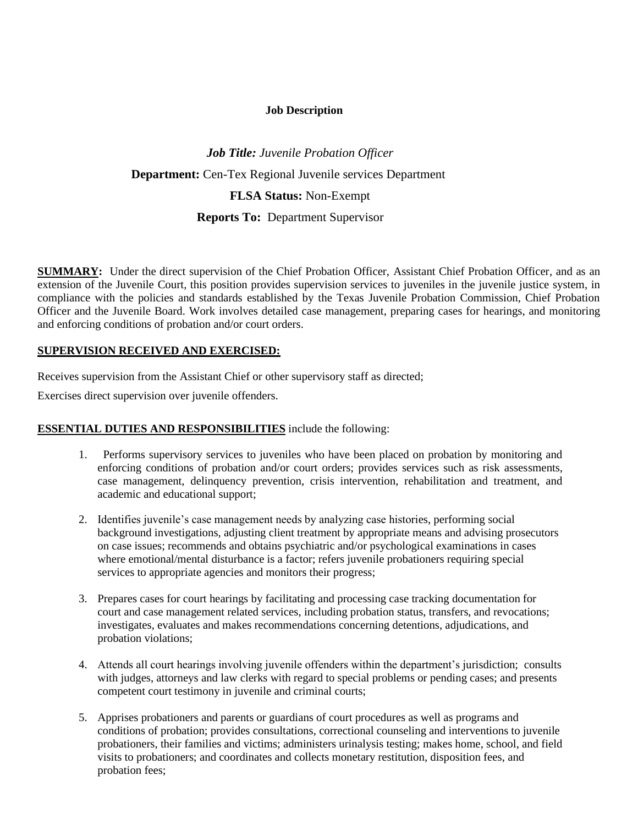#### **Job Description**

## *Job Title: Juvenile Probation Officer* **Department:** Cen-Tex Regional Juvenile services Department **FLSA Status:** Non-Exempt  **Reports To:** Department Supervisor

**SUMMARY:** Under the direct supervision of the Chief Probation Officer, Assistant Chief Probation Officer, and as an extension of the Juvenile Court, this position provides supervision services to juveniles in the juvenile justice system, in compliance with the policies and standards established by the Texas Juvenile Probation Commission, Chief Probation Officer and the Juvenile Board. Work involves detailed case management, preparing cases for hearings, and monitoring and enforcing conditions of probation and/or court orders.

#### **SUPERVISION RECEIVED AND EXERCISED:**

Receives supervision from the Assistant Chief or other supervisory staff as directed;

Exercises direct supervision over juvenile offenders.

## **ESSENTIAL DUTIES AND RESPONSIBILITIES** include the following:

- 1. Performs supervisory services to juveniles who have been placed on probation by monitoring and enforcing conditions of probation and/or court orders; provides services such as risk assessments, case management, delinquency prevention, crisis intervention, rehabilitation and treatment, and academic and educational support;
- 2. Identifies juvenile's case management needs by analyzing case histories, performing social background investigations, adjusting client treatment by appropriate means and advising prosecutors on case issues; recommends and obtains psychiatric and/or psychological examinations in cases where emotional/mental disturbance is a factor; refers juvenile probationers requiring special services to appropriate agencies and monitors their progress;
- 3. Prepares cases for court hearings by facilitating and processing case tracking documentation for court and case management related services, including probation status, transfers, and revocations; investigates, evaluates and makes recommendations concerning detentions, adjudications, and probation violations;
- 4. Attends all court hearings involving juvenile offenders within the department's jurisdiction; consults with judges, attorneys and law clerks with regard to special problems or pending cases; and presents competent court testimony in juvenile and criminal courts;
- 5. Apprises probationers and parents or guardians of court procedures as well as programs and conditions of probation; provides consultations, correctional counseling and interventions to juvenile probationers, their families and victims; administers urinalysis testing; makes home, school, and field visits to probationers; and coordinates and collects monetary restitution, disposition fees, and probation fees;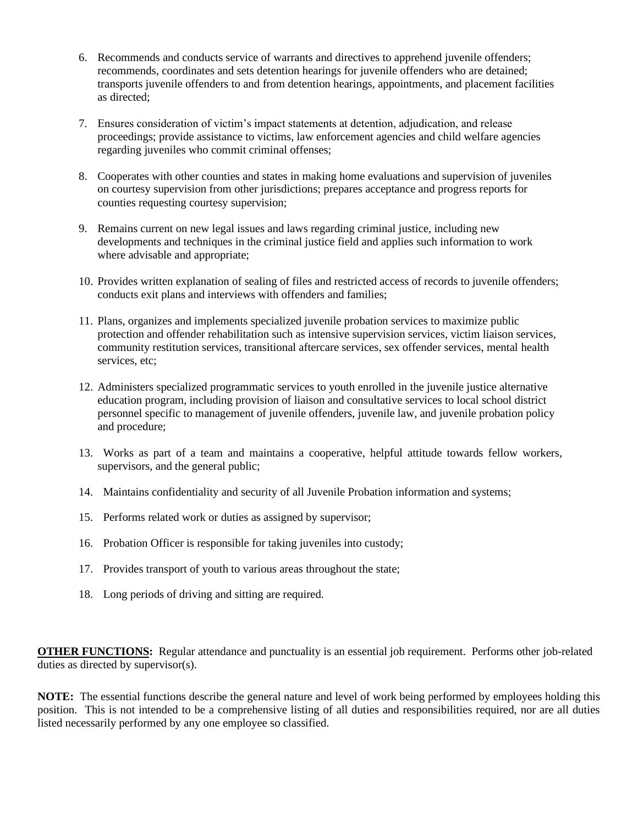- 6. Recommends and conducts service of warrants and directives to apprehend juvenile offenders; recommends, coordinates and sets detention hearings for juvenile offenders who are detained; transports juvenile offenders to and from detention hearings, appointments, and placement facilities as directed;
- 7. Ensures consideration of victim's impact statements at detention, adjudication, and release proceedings; provide assistance to victims, law enforcement agencies and child welfare agencies regarding juveniles who commit criminal offenses;
- 8. Cooperates with other counties and states in making home evaluations and supervision of juveniles on courtesy supervision from other jurisdictions; prepares acceptance and progress reports for counties requesting courtesy supervision;
- 9. Remains current on new legal issues and laws regarding criminal justice, including new developments and techniques in the criminal justice field and applies such information to work where advisable and appropriate;
- 10. Provides written explanation of sealing of files and restricted access of records to juvenile offenders; conducts exit plans and interviews with offenders and families;
- 11. Plans, organizes and implements specialized juvenile probation services to maximize public protection and offender rehabilitation such as intensive supervision services, victim liaison services, community restitution services, transitional aftercare services, sex offender services, mental health services, etc;
- 12. Administers specialized programmatic services to youth enrolled in the juvenile justice alternative education program, including provision of liaison and consultative services to local school district personnel specific to management of juvenile offenders, juvenile law, and juvenile probation policy and procedure;
- 13. Works as part of a team and maintains a cooperative, helpful attitude towards fellow workers, supervisors, and the general public;
- 14. Maintains confidentiality and security of all Juvenile Probation information and systems;
- 15. Performs related work or duties as assigned by supervisor;
- 16. Probation Officer is responsible for taking juveniles into custody;
- 17. Provides transport of youth to various areas throughout the state;
- 18. Long periods of driving and sitting are required.

**OTHER FUNCTIONS:** Regular attendance and punctuality is an essential job requirement. Performs other job-related duties as directed by supervisor(s).

**NOTE:** The essential functions describe the general nature and level of work being performed by employees holding this position. This is not intended to be a comprehensive listing of all duties and responsibilities required, nor are all duties listed necessarily performed by any one employee so classified.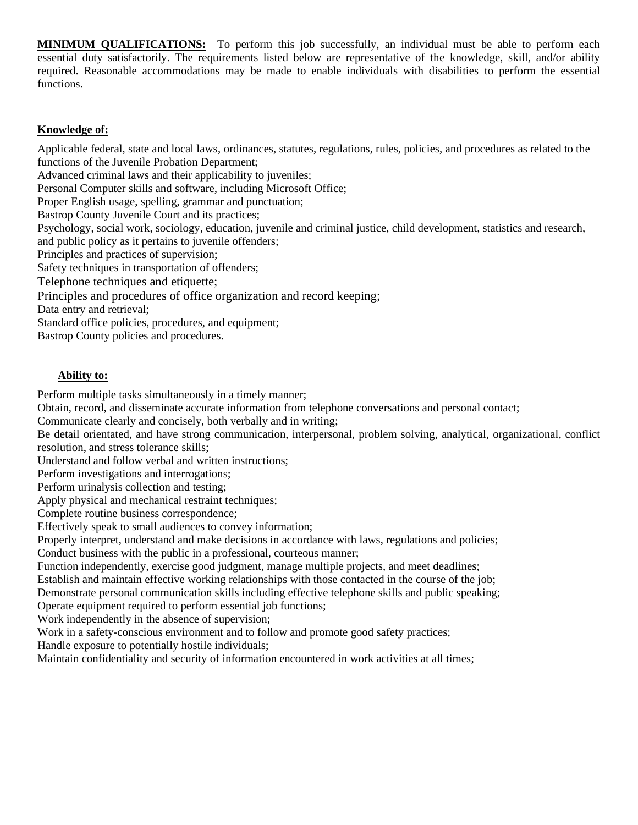**MINIMUM QUALIFICATIONS:** To perform this job successfully, an individual must be able to perform each essential duty satisfactorily. The requirements listed below are representative of the knowledge, skill, and/or ability required. Reasonable accommodations may be made to enable individuals with disabilities to perform the essential functions.

## **Knowledge of:**

Applicable federal, state and local laws, ordinances, statutes, regulations, rules, policies, and procedures as related to the functions of the Juvenile Probation Department; Advanced criminal laws and their applicability to juveniles; Personal Computer skills and software, including Microsoft Office; Proper English usage, spelling, grammar and punctuation; Bastrop County Juvenile Court and its practices; Psychology, social work, sociology, education, juvenile and criminal justice, child development, statistics and research, and public policy as it pertains to juvenile offenders; Principles and practices of supervision; Safety techniques in transportation of offenders; Telephone techniques and etiquette; Principles and procedures of office organization and record keeping; Data entry and retrieval; Standard office policies, procedures, and equipment; Bastrop County policies and procedures.

## **Ability to:**

Perform multiple tasks simultaneously in a timely manner;

Obtain, record, and disseminate accurate information from telephone conversations and personal contact;

Communicate clearly and concisely, both verbally and in writing;

Be detail orientated, and have strong communication, interpersonal, problem solving, analytical, organizational, conflict resolution, and stress tolerance skills;

Understand and follow verbal and written instructions;

Perform investigations and interrogations;

Perform urinalysis collection and testing;

Apply physical and mechanical restraint techniques;

Complete routine business correspondence;

Effectively speak to small audiences to convey information;

Properly interpret, understand and make decisions in accordance with laws, regulations and policies;

Conduct business with the public in a professional, courteous manner;

Function independently, exercise good judgment, manage multiple projects, and meet deadlines;

Establish and maintain effective working relationships with those contacted in the course of the job;

Demonstrate personal communication skills including effective telephone skills and public speaking;

Operate equipment required to perform essential job functions;

Work independently in the absence of supervision;

Work in a safety-conscious environment and to follow and promote good safety practices;

Handle exposure to potentially hostile individuals;

Maintain confidentiality and security of information encountered in work activities at all times;